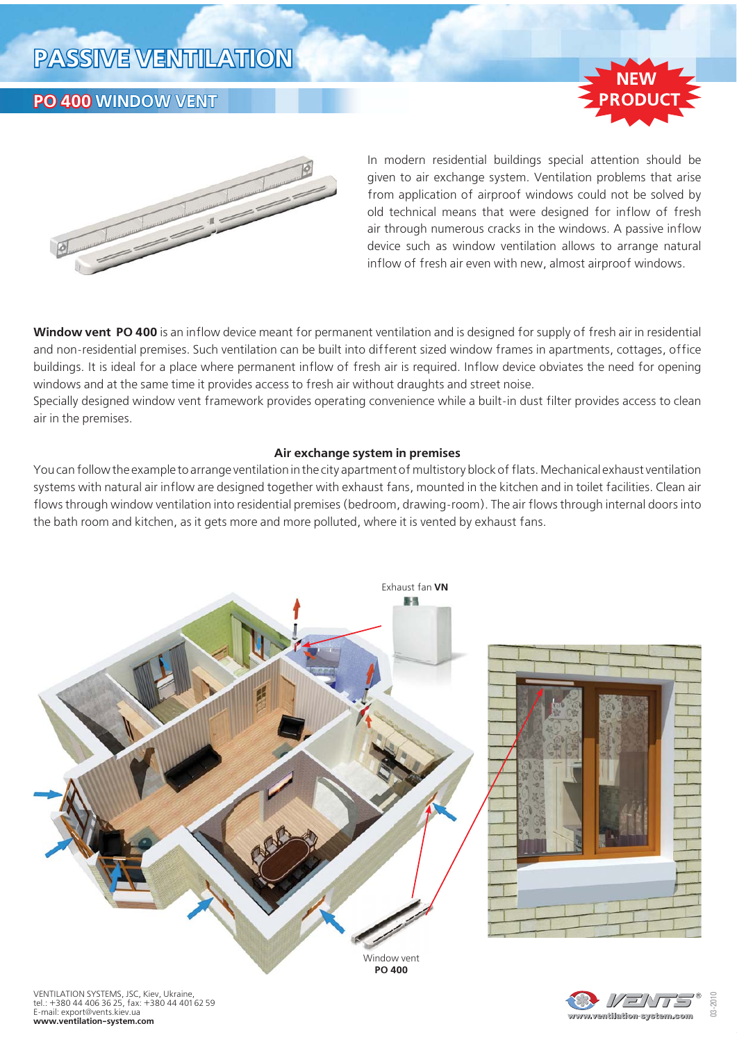## **PASSIVE VENTILATION**

## **PO 400 WINDOW VENT**





In modern residential buildings special attention should be given to air exchange system. Ventilation problems that arise from application of airproof windows could not be solved by old technical means that were designed for inflow of fresh air through numerous cracks in the windows. A passive inflow device such as window ventilation allows to arrange natural inflow of fresh air even with new, almost airproof windows.

**Window vent PO 400** is an inflow device meant for permanent ventilation and is designed for supply of fresh air in residential and non-residential premises. Such ventilation can be built into different sized window frames in apartments, cottages, office buildings. It is ideal for a place where permanent inflow of fresh air is required. Inflow device obviates the need for opening windows and at the same time it provides access to fresh air without draughts and street noise.

Specially designed window vent framework provides operating convenience while a built-in dust filter provides access to clean air in the premises.

#### **Air exchange system in premises**

You can follow the example to arrange ventilation in the city apartment of multistory block of flats. Mechanical exhaust ventilation systems with natural air inflow are designed together with exhaust fans, mounted in the kitchen and in toilet facilities. Clean air flows through window ventilation into residential premises (bedroom, drawing-room). The air flows through internal doors into the bath room and kitchen, as it gets more and more polluted, where it is vented by exhaust fans.